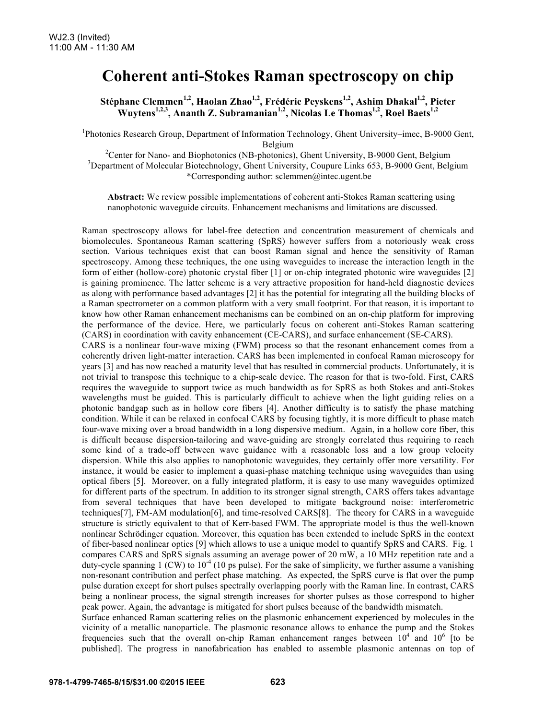## **Coherent anti-Stokes Raman spectroscopy on chip**

**Stéphane Clemmen1,2, Haolan Zhao1,2, Frédéric Peyskens1,2, Ashim Dhakal1,2, Pieter**  Wuytens<sup>1,2,3</sup>, Ananth Z. Subramanian<sup>1,2</sup>, Nicolas Le Thomas<sup>1,2</sup>, Roel Baets<sup>1,2</sup>

<sup>1</sup>Photonics Research Group, Department of Information Technology, Ghent University–imec, B-9000 Gent, Belgium<br><sup>2</sup>Conter for Nano, and Biophotonias (NB photonias)

<sup>2</sup> Center for Nano- and Biophotonics (NB-photonics), Ghent University, B-9000 Gent, Belgium  $\frac{3}{2}$ <sup>3</sup>Department of Molecular Biotechnology, Ghent University, Coupure Links 653, B-9000 Gent, Belgium \*Corresponding author: sclemmen@intec.ugent.be

**Abstract:** We review possible implementations of coherent anti-Stokes Raman scattering using nanophotonic waveguide circuits. Enhancement mechanisms and limitations are discussed.

Raman spectroscopy allows for label-free detection and concentration measurement of chemicals and biomolecules. Spontaneous Raman scattering (SpRS) however suffers from a notoriously weak cross section. Various techniques exist that can boost Raman signal and hence the sensitivity of Raman spectroscopy. Among these techniques, the one using waveguides to increase the interaction length in the form of either (hollow-core) photonic crystal fiber [1] or on-chip integrated photonic wire waveguides [2] is gaining prominence. The latter scheme is a very attractive proposition for hand-held diagnostic devices as along with performance based advantages [2] it has the potential for integrating all the building blocks of a Raman spectrometer on a common platform with a very small footprint. For that reason, it is important to know how other Raman enhancement mechanisms can be combined on an on-chip platform for improving the performance of the device. Here, we particularly focus on coherent anti-Stokes Raman scattering (CARS) in coordination with cavity enhancement (CE-CARS), and surface enhancement (SE-CARS). CARS is a nonlinear four-wave mixing (FWM) process so that the resonant enhancement comes from a coherently driven light-matter interaction. CARS has been implemented in confocal Raman microscopy for years [3] and has now reached a maturity level that has resulted in commercial products. Unfortunately, it is not trivial to transpose this technique to a chip-scale device. The reason for that is two-fold. First, CARS requires the waveguide to support twice as much bandwidth as for SpRS as both Stokes and anti-Stokes wavelengths must be guided. This is particularly difficult to achieve when the light guiding relies on a photonic bandgap such as in hollow core fibers [4]. Another difficulty is to satisfy the phase matching condition. While it can be relaxed in confocal CARS by focusing tightly, it is more difficult to phase match four-wave mixing over a broad bandwidth in a long dispersive medium. Again, in a hollow core fiber, this is difficult because dispersion-tailoring and wave-guiding are strongly correlated thus requiring to reach some kind of a trade-off between wave guidance with a reasonable loss and a low group velocity dispersion. While this also applies to nanophotonic waveguides, they certainly offer more versatility. For instance, it would be easier to implement a quasi-phase matching technique using waveguides than using optical fibers [5]. Moreover, on a fully integrated platform, it is easy to use many waveguides optimized for different parts of the spectrum. In addition to its stronger signal strength, CARS offers takes advantage from several techniques that have been developed to mitigate background noise: interferometric techniques[7], FM-AM modulation[6], and time-resolved CARS[8]. The theory for CARS in a waveguide structure is strictly equivalent to that of Kerr-based FWM. The appropriate model is thus the well-known nonlinear Schrödinger equation. Moreover, this equation has been extended to include SpRS in the context of fiber-based nonlinear optics [9] which allows to use a unique model to quantify SpRS and CARS. Fig. 1 compares CARS and SpRS signals assuming an average power of 20 mW, a 10 MHz repetition rate and a duty-cycle spanning  $1$  (CW) to  $10^{-4}$  (10 ps pulse). For the sake of simplicity, we further assume a vanishing non-resonant contribution and perfect phase matching. As expected, the SpRS curve is flat over the pump pulse duration except for short pulses spectrally overlapping poorly with the Raman line. In contrast, CARS being a nonlinear process, the signal strength increases for shorter pulses as those correspond to higher peak power. Again, the advantage is mitigated for short pulses because of the bandwidth mismatch. Surface enhanced Raman scattering relies on the plasmonic enhancement experienced by molecules in the

vicinity of a metallic nanoparticle. The plasmonic resonance allows to enhance the pump and the Stokes frequencies such that the overall on-chip Raman enhancement ranges between  $10^4$  and  $10^6$  [to be published]. The progress in nanofabrication has enabled to assemble plasmonic antennas on top of